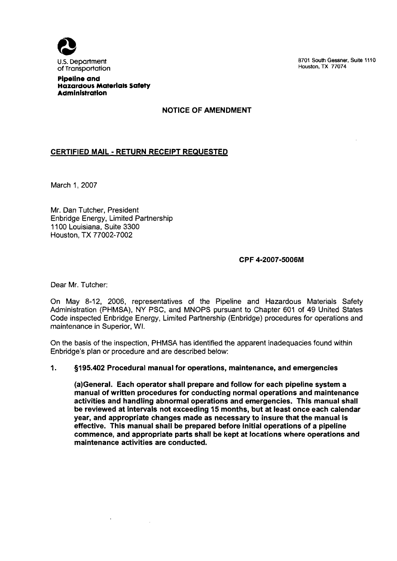

8701 South Gessner, Suite 1110 Houston, **TX** 77074

#### Pipeline and Hazardous Materials Satety **Administration**

NOTICE OF AMENDMENT

# CERTIFIED MAIL - RETURN RECEIPT REQUESTED

March 1, 2007

Mr. Dan Tutcher, President Enbridge Energy, Limited Partnership 11 00 Louisiana, Suite 3300 Houston, TX 77002-7002

### CPF 4-2007-5006M

Dear Mr. Tutcher:

On May 8-12, 2006, representatives of the Pipeline and Hazardous Materials Safety Administration (PHMSA), NY PSC, and MNOPS pursuant to Chapter 601 of 49 United States Code inspected Enbridge Energy, Limited Partnership (Enbridge) procedures for operations and maintenance in Superior, WI.

On the basis of the inspection, PHMSA has identified the apparent inadequacies found within Enbridge's plan or procedure and are described below:

#### **1.** 9195.402 Procedural manual for operations, maintenance, and emergencies

(a)General. Each operator shall prepare and follow for each pipeline system a manual of written procedures for conducting normal operations and maintenance activities and handling abnormal operations and emergencies. This manual shall be reviewed at intervals not exceeding 15 months, but at least once each calendar year, and appropriate changes made as necessary to insure that the manual is effective. This manual shall be prepared before initial operations of a pipeline commence, and appropriate parts shall be kept at locations where operations and maintenance activities are conducted.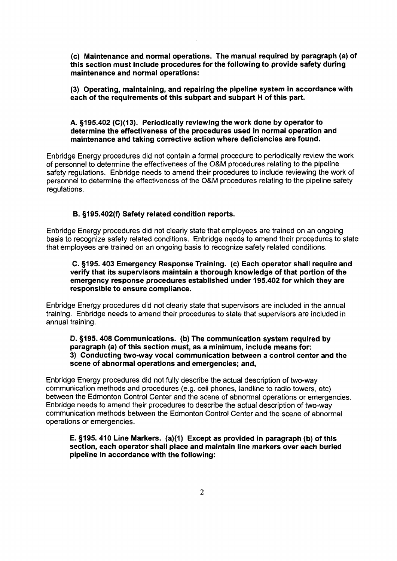(c) Maintenance and normal operations. The manual required by paragraph (a) of this section must include procedures for the following to provide safety during maintenance and normal operations:

(3) Operating, maintaining, and repairing the pipeline system in accordance with each of the requirements of this subpart and subpart H of this part.

### A. §195.402 (C)(13). Periodically reviewing the work done by operator to determine the effectiveness of the procedures used in normal operation and maintenance and taking corrective action where deficiencies are found.

Enbridge Energy procedures did not contain a formal procedure to periodically review the work of personnel to determine the effectiveness of the O&M procedures relating to the pipeline safety regulations. Enbridge needs to amend their procedures to include reviewing the work of personnel to determine the effectiveness of the O&M procedures relating to the pipeline safety regulations.

### B. §195.402(f) Safety related condition reports.

Enbridge Energy procedures did not clearly state that employees are trained on an ongoing basis to recognize safety related conditions. Enbridge needs to amend their procedures to state that employees are trained on an ongoing basis to recognize safety related conditions.

#### C. §195. 403 Emergency Response Training. (c) Each operator shall require and verify that its supervisors maintain a thorough knowledge of that portion of the emergency response procedures established under 195.402 for which they are responsible to ensure compliance.

Enbridge Energy procedures did not clearly state that supervisors are included in the annual training. Enbridge needs to amend their procedures to state that supervisors are included in annual training.

D. 9195.408 Communications. (b) The communication system required by paragraph (a) of this section must, as a minimum, include means for: 3) Conducting two-way vocal communication between a control center and the scene of abnormal operations and emergencies; and,

Enbridge Energy procedures did not fully describe the actual description of two-way communication methods and procedures (e.g. cell phones, landline to radio towers, etc) between the Edmonton Control Center and the scene of abnormal operations or emergencies. Enbridge needs to amend their procedures to describe the actual description of two-way communication methods between the Edmonton Control Center and the scene of abnormal operations or emergencies.

### E. §195.410 Line Markers. (a)(1) Except as provided in paragraph (b) of this section, each operator shall place and maintain line markers over each buried pipeline in accordance with the following: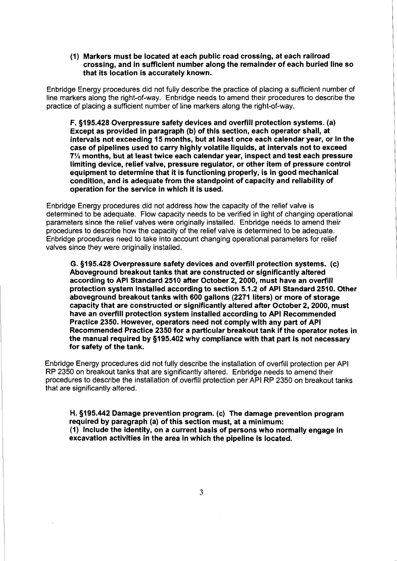(1) Markers must be located at each public road crossing, at each railroad crossing, and in sufficient number along the remainder of each buried line so that its location is accurately known.

Enbridge Energy procedures did not fully describe the practice of placing a sufficient number of line markers along the right-of-way. Enbridge needs to amend their procedures to describe the practice of placing a sufficient number of line markers along the right-of-way.

F. 5195.428 Overpressure safety devices and overfill protection systems. (a) Except as provided in paragraph (b) of this section, each operator shall, at intervals not exceeding 15 months, but at least once each calendar year, or in the case of pipelines used to carry highly volatile liquids, at intervals not to exceed **7%** months, but at least twice each calendar year, inspect and test each pressure limiting device, relief valve, pressure regulator, or other item of pressure control equipment to determine that it is functioning properly, is in good mechanical condition, and is adequate from the standpoint of capacity and reliability of operation for the service in which it is used.

Enbridge Energy procedures did not address how the capacity of the relief valve is determined to be adequate. Flow capacity needs to be verified in light of changing operational parameters since the relief valves were originally installed. Enbridge needs to amend their procedures to describe how the capacity of the relief valve is determined to be adequate. Enbridge procedures need to take into account changing operational parameters for relief valves since they were originally installed.

G. 5195.428 Overpressure safety devices and overfill protection systems. (c) Aboveground breakout tanks that are constructed or significantly altered according to API Standard 2510 after October 2,2000, must have an overfill protection system installed according to section 5.1.2 of API Standard 2510. Other aboveground breakout tanks with 600 gallons (2271 liters) or more of storage capacity that are constructed or significantly altered after October 2,2000, must have an overfill protection system installed according to API Recommended Practice 2350. However, operators need not comply with any part of API Recommended Practice 2350 for a particular breakout tank if the operator notes in the manual required by 5195.402 why compliance with that part is not necessary for safety of the tank.

Enbridge Energy procedures did not fully describe the installation of overfill protection per API RP 2350 on breakout tanks that are significantly altered. Enbridge needs to amend their procedures to describe the installation of overfill protection per API RP 2350 on breakout tanks that are significantly altered.

H. 5195.442 Damage prevention program. (c) The damage prevention program required by paragraph (a) of this section must, at a minimum: (1) Include the identity, on a current basis of persons who normally engage in excavation activities in the area in which the pipeline is located.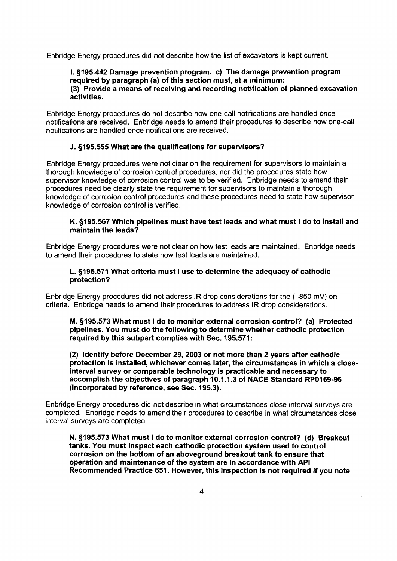Enbridge Energy procedures did not describe how the list of excavators is kept current.

#### 1. §195.442 Damage prevention program. c) The damage prevention program required by paragraph (a) of this section must, at a minimum: (3) Provide a means of receiving and recording notification of planned excavation activities.

Enbridge Energy procedures do not describe how one-call notifications are handled once notifications are received. Enbridge needs to amend their procedures to describe how one-call notifications are handled once notifications are received.

## J. 5195.555 What are the qualifications for supervisors?

Enbridge Energy procedures were not clear on the requirement for supervisors to maintain a thorough knowledge of corrosion control procedures, nor did the procedures state how supervisor knowledge of corrosion control was to be verified. Enbridge needs to amend their procedures need be clearly state the requirement for supervisors to maintain a thorough knowledge of corrosion control procedures and these procedures need to state how supervisor knowledge of corrosion control is verified.

## K. §195.567 Which pipelines must have test leads and what must I do to install and maintain the leads?

Enbridge Energy procedures were not clear on how test leads are maintained. Enbridge needs to amend their procedures to state how test leads are maintained.

## L. 5195.571 What criteria must I use to determine the adequacy of cathodic protection?

Enbridge Energy procedures did not address IR drop considerations for the (-850 mV) oncriteria. Enbridge needs to amend their procedures to address **IR** drop considerations.

M. 9195.573 What must I do to monitor external corrosion control? (a) Protected pipelines. You must do the following to determine whether cathodic protection required by this subpart complies with Sec. 195.571:

(2) Identify before December 29,2003 or not more than 2 years after cathodic protection is installed, whichever comes later, the circumstances in which a closeinterval survey or comparable technology is practicable and necessary to accomplish the objectives of paragraph 10.1.1.3 of NACE Standard RP0169-96 (incorporated by reference, see Sec. 195.3).

Enbridge Energy procedures did not describe in what circumstances close interval surveys are completed. Enbridge needs to amend their procedures to describe in what circumstances close interval surveys are completed

N. 9195.573 What must I do to monitor external corrosion control? (d) Breakout tanks. You must inspect each cathodic protection system used to control corrosion on the bottom of an aboveground breakout tank to ensure that operation and maintenance of the system are in accordance with API Recommended Practice 651. However, this inspection is not required if you note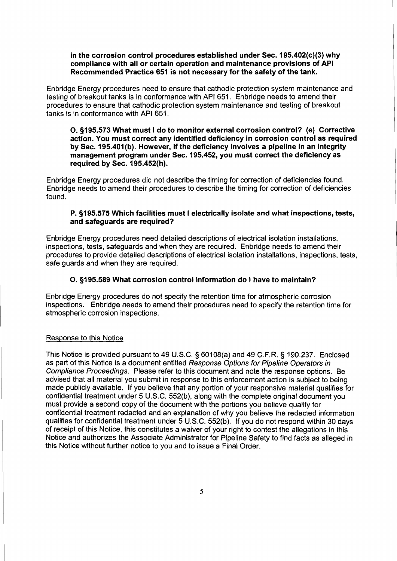#### in the corrosion control procedures established under Sec.  $195.402(c)(3)$  why compliance with all or certain operation and maintenance provisions of API Recommended Practice 651 is not necessary for the safety of the tank.

Enbridge Energy procedures need to ensure that cathodic protection system maintenance and testing of breakout tanks is in conformance with API 651. Enbridge needs to amend their procedures to ensure that cathodic protection system maintenance and testing of breakout tanks is in conformance with API 651.

0.9195.573 What must I do to monitor external corrosion control? (e) Corrective action. You must correct any identified deficiency in corrosion control as required by Sec. 195.401(b). However, if the deficiency involves a pipeline in an integrity management program under Sec. 195.452, you must correct the deficiency as required by Sec. 195.452(h).

Enbridge Energy procedures did not describe the timing for correction of deficiencies found. Enbridge needs to amend their procedures to describe the timing for correction of deficiencies found.

### P. 9195.575 Which facilities must I electrically isolate and what inspections, tests, and safeguards are required?

Enbridge Energy procedures need detailed descriptions of electrical isolation installations, inspections, tests, safeguards and when they are required. Enbridge needs to amend their procedures to provide detailed descriptions of electrical isolation installations, inspections, tests, safe guards and when they are required.

# O. §195.589 What corrosion control information do I have to maintain?

Enbridge Energy procedures do not specify the retention time for atmospheric corrosion inspections. Enbridge needs to amend their procedures need to specify the retention time for atmospheric corrosion inspections.

## Response to this Notice

'This Notice is provided pursuant to 49 U.S.C. **5** 601 08(a) and 49 C.F.R. **5** 190.237. Enclosed as part of this Notice is a document entitled Response Options for Pipeline Operators in Compliance Proceedings. Please refer to this document and note the response options. Be advised that all material you submit in response to this enforcement action is subject to being made publicly available. If you believe that any portion of your responsive material qualifies for confidential treatment under 5 U.S.C. 552(b), along with the complete original document you must provide a second copy of the document with the portions you believe qualify for confidential treatment redacted and an explanation of why you believe the redacted information qualifies for confidential treatment under 5 U.S.C. 552(b). If you do not respond within 30 days of receipt of this Notice, this constitutes a waiver of your right to contest the allegations in this Notice and authorizes the Associate Administrator for Pipeline Safety to find facts as alleged in this Notice without further notice to you and to issue a Final Order.